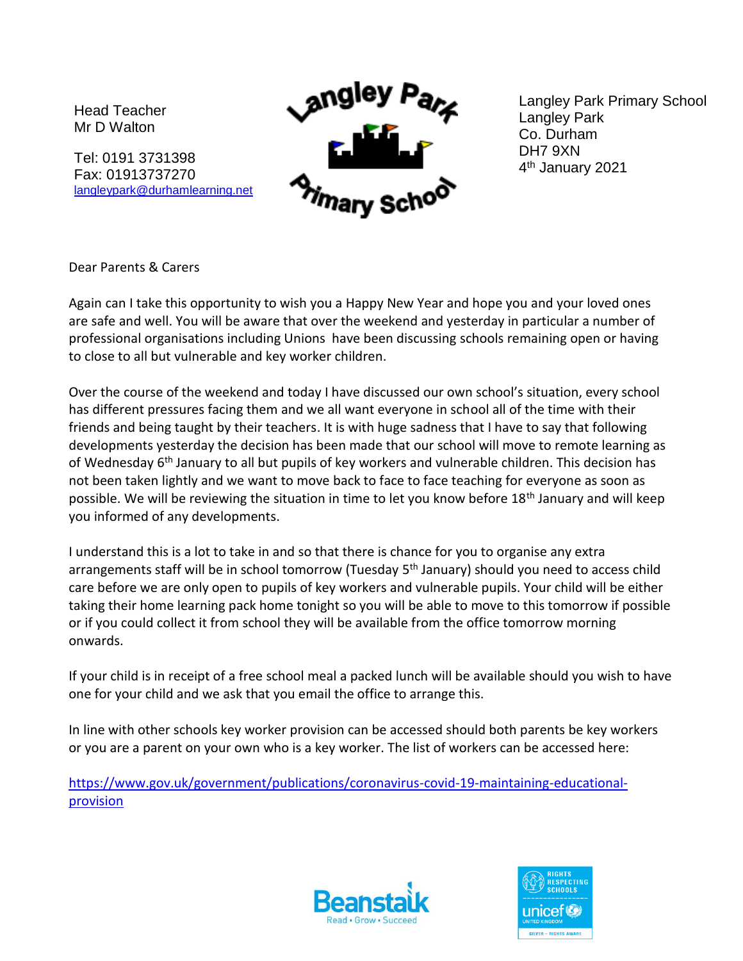Head Teacher Mr D Walton

Tel: 0191 3731398 Fax: 01913737270 [langleypark@durhamlearning.net](mailto:langleypark@durhamlearning.net)



Langley Park Primary School Langley Park Co. Durham DH7 9XN 4 th January 2021

Dear Parents & Carers

Again can I take this opportunity to wish you a Happy New Year and hope you and your loved ones are safe and well. You will be aware that over the weekend and yesterday in particular a number of professional organisations including Unions have been discussing schools remaining open or having to close to all but vulnerable and key worker children.

Over the course of the weekend and today I have discussed our own school's situation, every school has different pressures facing them and we all want everyone in school all of the time with their friends and being taught by their teachers. It is with huge sadness that I have to say that following developments yesterday the decision has been made that our school will move to remote learning as of Wednesday 6<sup>th</sup> January to all but pupils of key workers and vulnerable children. This decision has not been taken lightly and we want to move back to face to face teaching for everyone as soon as possible. We will be reviewing the situation in time to let you know before 18<sup>th</sup> January and will keep you informed of any developments.

I understand this is a lot to take in and so that there is chance for you to organise any extra arrangements staff will be in school tomorrow (Tuesday 5<sup>th</sup> January) should you need to access child care before we are only open to pupils of key workers and vulnerable pupils. Your child will be either taking their home learning pack home tonight so you will be able to move to this tomorrow if possible or if you could collect it from school they will be available from the office tomorrow morning onwards.

If your child is in receipt of a free school meal a packed lunch will be available should you wish to have one for your child and we ask that you email the office to arrange this.

In line with other schools key worker provision can be accessed should both parents be key workers or you are a parent on your own who is a key worker. The list of workers can be accessed here:

[https://www.gov.uk/government/publications/coronavirus-covid-19-maintaining-educational](https://www.gov.uk/government/publications/coronavirus-covid-19-maintaining-educational-provision)[provision](https://www.gov.uk/government/publications/coronavirus-covid-19-maintaining-educational-provision)